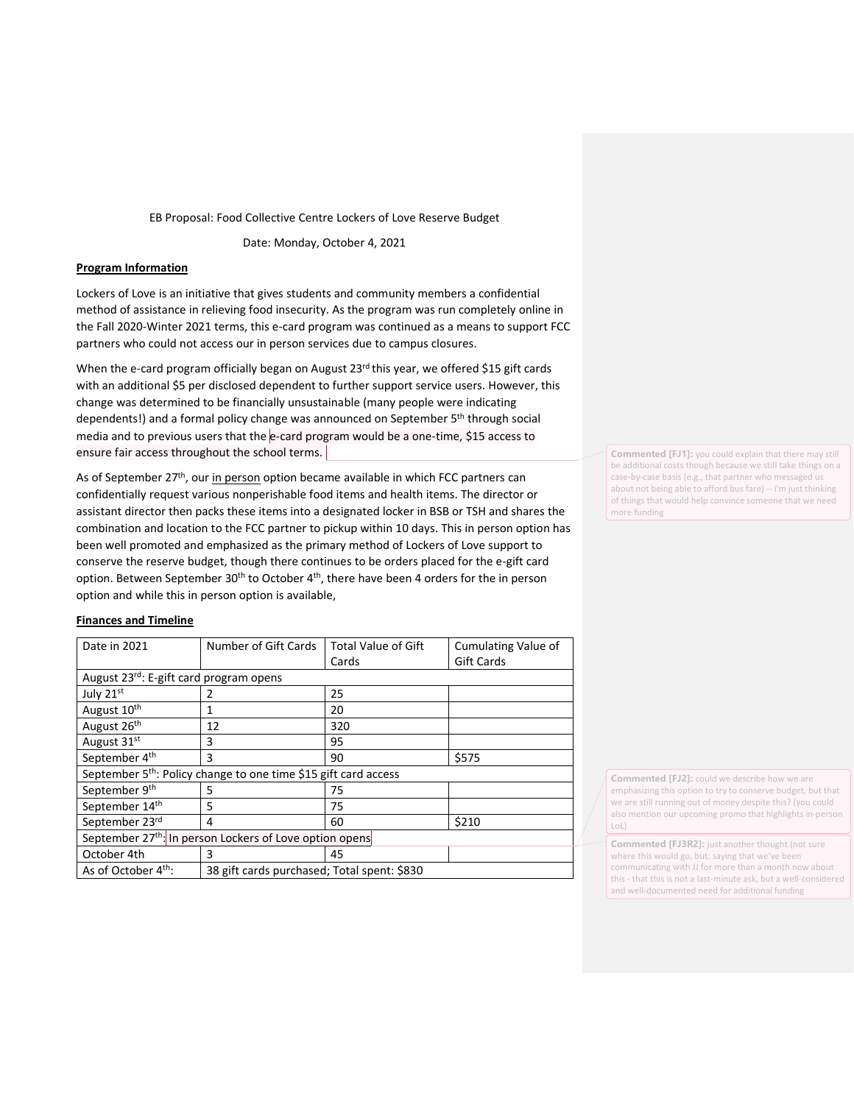EB Proposal: Food Collective Centre Lockers of Love Reserve Budget

Date: Monday, October 4, 2021

## **Program Information**

Lockers of Love is an initiative that gives students and community members a confidential method of assistance in relieving food insecurity. As the program was run completely online in the Fall 2020-Winter 2021 terms, this e-card program was continued as a means to support FCC partners who could not access our in person services due to campus closures.

When the e-card program officially began on August 23<sup>rd</sup> this year, we offered \$15 gift cards with an additional \$5 per disclosed dependent to further support service users. However, this change was determined to be financially unsustainable (many people were indicating dependents!) and a formal policy change was announced on September 5<sup>th</sup> through social media and to previous users that the  $e$ -card program would be a one-time, \$15 access to ensure fair access throughout the school terms.

As of September  $27<sup>th</sup>$ , ou[r in person](https://forms.office.com/Pages/ResponsePage.aspx?id=VULlUrBySUaVGi3kwXAAnQqTUpOt3V9Eue9lFLSUaA9UNFVFWVdBUVRKQVNTQU5ISjVBTloxWFRIMS4u) option became available in which FCC partners can confidentially request various nonperishable food items and health items. The director or assistant director then packs these items into a designated locker in BSB or TSH and shares the combination and location to the FCC partner to pickup within 10 days. This in person option has been well promoted and emphasized as the primary method of Lockers of Love support to conserve the reserve budget, though there continues to be orders placed for the e-gift card option. Between September  $30<sup>th</sup>$  to October  $4<sup>th</sup>$ , there have been 4 orders for the in person option and while this in person option is available,

## **Finances and Timeline**

| Date in 2021                                                                | Number of Gift Cards                        | <b>Total Value of Gift</b> | Cumulating Value of |
|-----------------------------------------------------------------------------|---------------------------------------------|----------------------------|---------------------|
|                                                                             |                                             | Cards                      | <b>Gift Cards</b>   |
| August 23rd: E-gift card program opens                                      |                                             |                            |                     |
| July 21st                                                                   |                                             | 25                         |                     |
| August 10 <sup>th</sup>                                                     | 1                                           | 20                         |                     |
| August 26 <sup>th</sup>                                                     | 12                                          | 320                        |                     |
| August 31 <sup>st</sup>                                                     | 3                                           | 95                         |                     |
| September 4 <sup>th</sup>                                                   | 3                                           | 90                         | \$575               |
| September 5 <sup>th</sup> : Policy change to one time \$15 gift card access |                                             |                            |                     |
| September 9th                                                               | 5                                           | 75                         |                     |
| September 14th                                                              | 5                                           | 75                         |                     |
| September 23rd                                                              | 4                                           | 60                         | \$210               |
| September 27 <sup>th</sup> : In person Lockers of Love option opens         |                                             |                            |                     |
| October 4th                                                                 | 3                                           | 45                         |                     |
| As of October 4 <sup>th</sup> :                                             | 38 gift cards purchased; Total spent: \$830 |                            |                     |

**Commented [FJ1]:** you could explain that there may still be additional costs though because we still take things on a case-by-case basis (e.g., that partner who messaged us about not being able to afford bus fare) -- i'm just thinking of things that would help convince someone that we need more funding

**Commented [FJ2]:** could we describe how we are emphasizing this option to try to conserve budget, but that we are still running out of money despite this? (you could also mention our upcoming promo that highlights in-person LoL)

**Commented [FJ3R2]:** just another thought (not sure where this would go, but: saying that we've been communicating with JJ for more than a month now about this - that this is not a last-minute ask, but a well-considered and well-documented need for additional funding